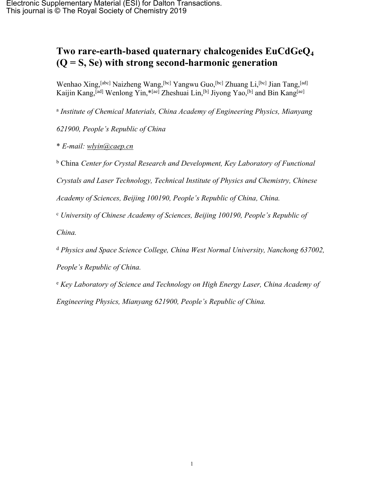## **Two rare-earth-based quaternary chalcogenides EuCdGeQ<sup>4</sup> (Q = S, Se) with strong second-harmonic generation**

Wenhao Xing, <sup>[abc]</sup> Naizheng Wang, <sup>[bc]</sup> Yangwu Guo, <sup>[bc]</sup> Zhuang Li, <sup>[bc]</sup> Jian Tang, <sup>[ad]</sup> Kaijin Kang,[ad] Wenlong Yin,\*[ae] Zheshuai Lin,[b] Jiyong Yao,[b] and Bin Kang[ae]

a *Institute of Chemical Materials, China Academy of Engineering Physics, Mianyang*

*621900, People's Republic of China*

\* *E-mail: [wlyin@caep.cn](mailto:wlyin@caep.cn)*

<sup>b</sup> China *Center for Crystal Research and Development, Key Laboratory of Functional*

*Crystals and Laser Technology, Technical Institute of Physics and Chemistry, Chinese*

*Academy of Sciences, Beijing 100190, People's Republic of China, China.*

<sup>c</sup> *University of Chinese Academy of Sciences, Beijing 100190, People's Republic of*

*China.*

<sup>d</sup> *Physics and Space Science College, China West Normal University, Nanchong 637002,*

*People's Republic of China.*

<sup>e</sup> *Key Laboratory of Science and Technology on High Energy Laser, China Academy of Engineering Physics, Mianyang 621900, People's Republic of China.*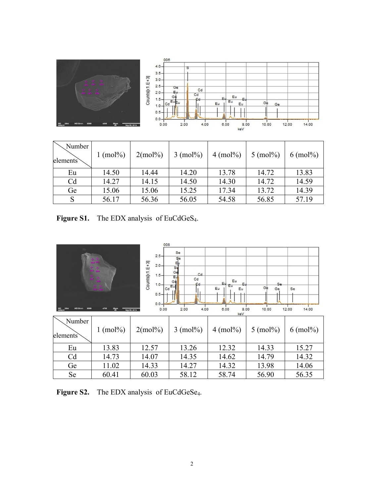

| Number<br>elements | $1 \pmod{96}$ | $2 \pmod{96}$ | $3 \pmod{96}$ | $4 \pmod{6}$ | $5 \pmod{6}$ | $6 \pmod{6}$ |
|--------------------|---------------|---------------|---------------|--------------|--------------|--------------|
| Eu                 | 14.50         | 14.44         | 14.20         | 13.78        | 14.72        | 13.83        |
| C <sub>d</sub>     | 14.27         | 14.15         | 14.50         | 14.30        | 14.72        | 14.59        |
| Ge                 | 15.06         | 15.06         | 15.25         | 17.34        | 13.72        | 14.39        |
|                    | 56.17         | 56.36         | 56.05         | 54.58        | 56.85        | 57.19        |

**Figure S1.** The EDX analysis of EuCdGeS<sub>4</sub>.



**Figure S2.** The EDX analysis of EuCdGeSe<sub>4</sub>.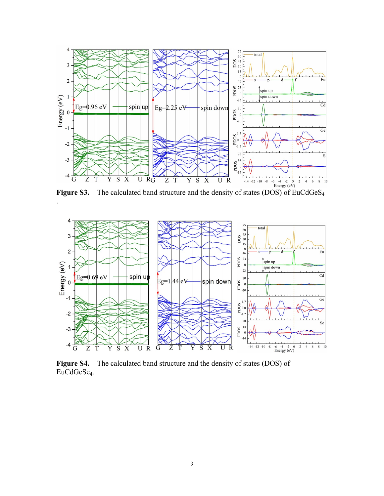

.



**Figure S4.** The calculated band structure and the density of states (DOS) of EuCdGeSe<sub>4</sub>.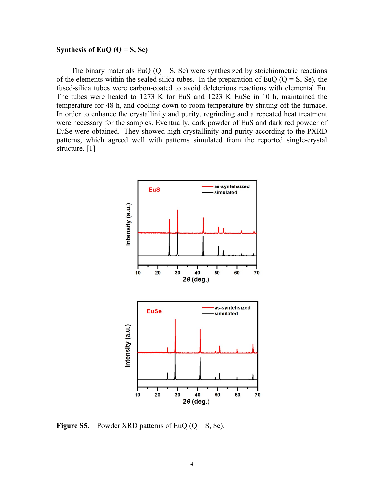## **Synthesis** of  $EuQ$  ( $Q = S$ ,  $Se$ )

The binary materials EuQ ( $Q = S$ , Se) were synthesized by stoichiometric reactions of the elements within the sealed silica tubes. In the preparation of EuQ ( $Q = S$ , Se), the fused-silica tubes were carbon-coated to avoid deleterious reactions with elemental Eu. The tubes were heated to 1273 K for EuS and 1223 K EuSe in 10 h, maintained the temperature for 48 h, and cooling down to room temperature by shuting off the furnace. In order to enhance the crystallinity and purity, regrinding and a repeated heat treatment were necessary for the samples. Eventually, dark powder of EuS and dark red powder of EuSe were obtained. They showed high crystallinity and purity according to the PXRD patterns, which agreed well with patterns simulated from the reported single-crystal structure. [1]



**Figure S5.** Powder XRD patterns of EuQ  $(Q = S, Se)$ .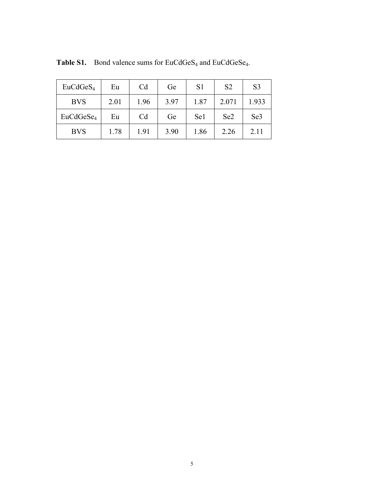| EuCdGeS <sub>4</sub>  | Eu   | C <sub>d</sub> | Ge   | S <sub>1</sub> | S <sub>2</sub>  | S <sub>3</sub>  |
|-----------------------|------|----------------|------|----------------|-----------------|-----------------|
| <b>BVS</b>            | 2.01 | 1.96           | 3.97 | 1.87           | 2.071           | 1.933           |
| EuCdGeSe <sub>4</sub> | Eu   | C <sub>d</sub> | Ge   | Se1            | Se <sub>2</sub> | Se <sub>3</sub> |
| <b>BVS</b>            | 1.78 | 1.91           | 3.90 | 1.86           | 2.26            | 2.11            |

**Table S1.** Bond valence sums for EuCdGeS<sub>4</sub> and EuCdGeSe<sub>4</sub>.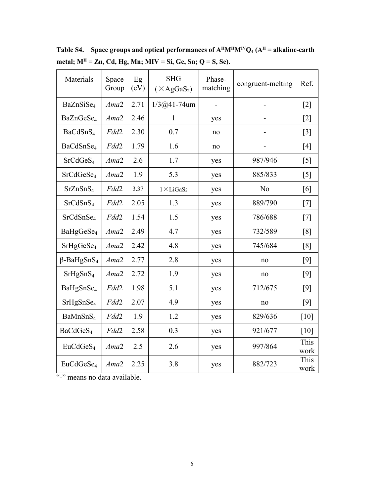| Materials                     | Space<br>Group | Eg<br>(eV) | <b>SHG</b><br>$(\times AgGaS_2)$ | Phase-<br>matching | congruent-melting | Ref.              |
|-------------------------------|----------------|------------|----------------------------------|--------------------|-------------------|-------------------|
| BaZnSiSe <sub>4</sub>         | Ama2           | 2.71       | $1/3@41 - 74$ um                 | $\blacksquare$     |                   | $\lceil 2 \rceil$ |
| BaZnGeSe <sub>4</sub>         | Ama2           | 2.46       | $\mathbf{1}$                     | yes                |                   | $[2]$             |
| BaCdSnS <sub>4</sub>          | Fdd2           | 2.30       | 0.7                              | no                 |                   | $\lceil 3 \rceil$ |
| BaCdSnSe <sub>4</sub>         | Fdd2           | 1.79       | 1.6                              | no                 |                   | [4]               |
| SrCdGeS <sub>4</sub>          | Ama2           | 2.6        | 1.7                              | yes                | 987/946           | [5]               |
| SrCdGeSe <sub>4</sub>         | Ama2           | 1.9        | 5.3                              | yes                | 885/833           | [5]               |
| SrZnSnS <sub>4</sub>          | Fdd2           | 3.37       | $1 \times LiGaS2$                | yes                | N <sub>0</sub>    | [6]               |
| SrCdSnS <sub>4</sub>          | Fdd2           | 2.05       | 1.3                              | yes                | 889/790           | $[7]$             |
| SrCdSnSe <sub>4</sub>         | Fdd2           | 1.54       | 1.5                              | yes                | 786/688           | $[7]$             |
| BaHgGeSe <sub>4</sub>         | Ama2           | 2.49       | 4.7                              | yes                | 732/589           | [8]               |
| SrHgGeSe <sub>4</sub>         | Ama2           | 2.42       | 4.8                              | yes                | 745/684           | [8]               |
| $\beta$ -BaHgSnS <sub>4</sub> | Ama2           | 2.77       | 2.8                              | yes                | no                | [9]               |
| SrHgSnS <sub>4</sub>          | Ama2           | 2.72       | 1.9                              | yes                | no                | $[9]$             |
| BaHgSnSe <sub>4</sub>         | Fdd2           | 1.98       | 5.1                              | yes                | 712/675           | [9]               |
| SrHgSnSe <sub>4</sub>         | Fdd2           | 2.07       | 4.9                              | yes                | no                | [9]               |
| BaMnSnS <sub>4</sub>          | Fdd2           | 1.9        | 1.2                              | yes                | 829/636           | [10]              |
| BaCdGeS <sub>4</sub>          | Fdd2           | 2.58       | 0.3                              | yes                | 921/677           | [10]              |
| EuCdGeS <sub>4</sub>          | Ama2           | 2.5        | 2.6                              | yes                | 997/864           | This<br>work      |
| EuCdGeSe <sub>4</sub>         | Ama2           | 2.25       | 3.8                              | yes                | 882/723           | This<br>work      |

**Table S4. Space groups and optical performances of AIIMIIMIVQ<sup>4</sup> (AII = alkaline-earth metal; MII = Zn, Cd, Hg, Mn; MIV = Si, Ge, Sn; Q = S, Se).**

"-" means no data available.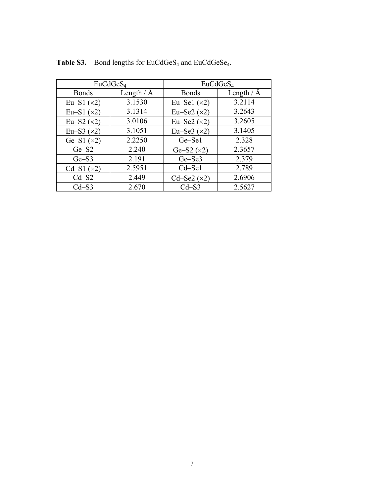|                         | EuCdGeS <sub>4</sub> | EuCdGeS <sub>4</sub> |              |  |
|-------------------------|----------------------|----------------------|--------------|--|
| <b>Bonds</b>            | Length $/$ Å         | <b>Bonds</b>         | Length $/$ Å |  |
| Eu-S1 $(x2)$            | 3.1530               | Eu-Sel $(x2)$        | 3.2114       |  |
| Eu-S1 $(x2)$            | 3.1314               | Eu-Se2 $(x2)$        | 3.2643       |  |
| Eu $-S2$ ( $\times 2$ ) | 3.0106               | Eu-Se2 $(x2)$        | 3.2605       |  |
| Eu $-S3$ ( $\times$ 2)  | 3.1051               | Eu–Se3 $(x2)$        | 3.1405       |  |
| Ge-S1 $(x2)$            | 2.2250               | Ge-Sel               | 2.328        |  |
| $Ge-S2$                 | 2.240                | Ge-S2 $(x2)$         | 2.3657       |  |
| $Ge-S3$                 | 2.191                | Ge-Se3               | 2.379        |  |
| Cd-S1 $(x2)$            | 2.5951               | Cd-Sel               | 2.789        |  |
| $Cd-S2$                 | 2.449                | Cd-Se2 $(x2)$        | 2.6906       |  |
| $Cd - S3$               | 2.670                | $Cd - S3$            | 2.5627       |  |

Table S3. Bond lengths for EuCdGeS<sub>4</sub> and EuCdGeSe<sub>4</sub>.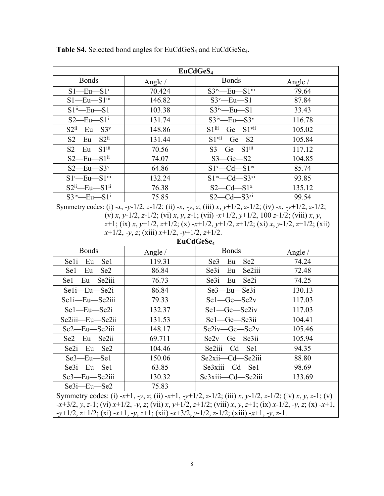| EuCdGeS <sub>4</sub>                                                                                                                                                                                                    |                                                     |                                                                                                       |                    |  |  |  |  |
|-------------------------------------------------------------------------------------------------------------------------------------------------------------------------------------------------------------------------|-----------------------------------------------------|-------------------------------------------------------------------------------------------------------|--------------------|--|--|--|--|
| <b>Bonds</b>                                                                                                                                                                                                            | Angle $/$                                           | <b>Bonds</b>                                                                                          | Angle $/$          |  |  |  |  |
| $S1$ —Eu— $S1$ <sup>i</sup>                                                                                                                                                                                             | 70.424                                              | $S3^{iv}$ -Eu- $S1^{iii}$                                                                             | 79.64              |  |  |  |  |
| $S1$ —Eu— $S1$ <sup>iii</sup>                                                                                                                                                                                           | 146.82                                              | $S3^v$ —Eu—S1                                                                                         | 87.84              |  |  |  |  |
| $S1^{ii}$ - Eu - $S1$                                                                                                                                                                                                   | 103.38                                              | $S3^{iv}$ -Eu- $S1$                                                                                   | 33.43              |  |  |  |  |
| $S2$ —Eu—S1 <sup>i</sup>                                                                                                                                                                                                | 131.74                                              | $S3^{\text{iv}}$ -Eu- $S3^{\text{v}}$                                                                 | 116.78             |  |  |  |  |
| $S2ii$ -Eu- $S3v$                                                                                                                                                                                                       | 148.86                                              | S1iii-Ge-S1vii                                                                                        | 105.02             |  |  |  |  |
| $S2$ -Eu- $S2$ <sup>ii</sup>                                                                                                                                                                                            | 131.44                                              | $S1$ <sup>vii</sup> <sub>-Ge-S2</sub>                                                                 | 105.84             |  |  |  |  |
| $S2$ —Eu— $S1$ <sup>iii</sup>                                                                                                                                                                                           | 70.56                                               | $S3$ —Ge— $S1$ <sup>iii</sup>                                                                         | 117.12             |  |  |  |  |
| $S2$ —Eu— $S1$ <sup>ii</sup>                                                                                                                                                                                            | 74.07                                               | $S3 - Ge - S2$                                                                                        | 104.85             |  |  |  |  |
| $S2$ —Eu— $S3v$                                                                                                                                                                                                         | 64.86                                               | $S1^x$ -Cd -S1 <sup>ix</sup>                                                                          | 85.74              |  |  |  |  |
| $S1^i$ -Eu- $S1$ <sup>iii</sup>                                                                                                                                                                                         | 132.24                                              | $S1^{ix}-Cd$ -S3xi                                                                                    | 93.85              |  |  |  |  |
| $S2ii$ -Eu- $S1ii$                                                                                                                                                                                                      | 76.38                                               | $S2 - Cd - S1x$                                                                                       | 135.12             |  |  |  |  |
| $S3^{iv}$ Eu $-S1^i$                                                                                                                                                                                                    | 75.85                                               | $S2 - Cd - S3xi$                                                                                      | 99.54              |  |  |  |  |
|                                                                                                                                                                                                                         |                                                     | Symmetry codes: (i) -x, -y-1/2, z-1/2; (ii) -x, -y, z; (iii) x, y+1/2, z-1/2; (iv) -x, -y+1/2, z-1/2; |                    |  |  |  |  |
| (v) x, y-1/2, z-1/2; (vi) x, y, z-1; (vii) -x+1/2, y+1/2, 100 z-1/2; (viii) x, y,                                                                                                                                       |                                                     |                                                                                                       |                    |  |  |  |  |
| $z+1$ ; (ix) x, y+1/2, z+1/2; (x) -x+1/2, y+1/2, z+1/2; (xi) x, y-1/2, z+1/2; (xii)                                                                                                                                     |                                                     |                                                                                                       |                    |  |  |  |  |
|                                                                                                                                                                                                                         | $x+1/2$ , -y, z; (xiii) $x+1/2$ , -y+1/2, $z+1/2$ . | EuCdGeSe <sub>4</sub>                                                                                 |                    |  |  |  |  |
| <b>Bonds</b>                                                                                                                                                                                                            |                                                     | <b>Bonds</b>                                                                                          |                    |  |  |  |  |
| Seli-Eu-Sel                                                                                                                                                                                                             | Angle $/$<br>119.31                                 | Se3-Eu-Se2                                                                                            | Angle $/$<br>74.24 |  |  |  |  |
| Se1-Eu-Se2                                                                                                                                                                                                              | 86.84                                               | $Se3i$ -Eu- $Se2iii$                                                                                  | 72.48              |  |  |  |  |
| Se1-Eu-Se2iii                                                                                                                                                                                                           | 76.73                                               | Se3i-Eu-Se2i                                                                                          | 74.25              |  |  |  |  |
| Seli-Eu-Se2i                                                                                                                                                                                                            | 86.84                                               | Se3-Eu-Se3i                                                                                           | 130.13             |  |  |  |  |
| Se1i-Eu-Se2iii                                                                                                                                                                                                          | 79.33                                               | Sel-Ge-Se2v                                                                                           | 117.03             |  |  |  |  |
| Sel-Eu-Se2i                                                                                                                                                                                                             | 132.37                                              | Sel-Ge-Se2iv                                                                                          | 117.03             |  |  |  |  |
| Se2iii-Eu-Se2ii                                                                                                                                                                                                         | 131.53                                              | Sel-Ge-Se3ii                                                                                          | 104.41             |  |  |  |  |
| Se2-Eu-Se2iii                                                                                                                                                                                                           | 148.17                                              | $Se2iv$ - Ge - Se2v                                                                                   | 105.46             |  |  |  |  |
| Se2-Eu-Se2ii                                                                                                                                                                                                            | 69.711                                              | Se2v-Ge-Se3ii                                                                                         | 105.94             |  |  |  |  |
|                                                                                                                                                                                                                         |                                                     |                                                                                                       |                    |  |  |  |  |
| Se2i—Eu—Se2<br>Se3-Eu-Se1                                                                                                                                                                                               | 104.46                                              | Se2iii—Cd—Se1<br>Se2xii—Cd—Se2iii                                                                     | 94.35              |  |  |  |  |
|                                                                                                                                                                                                                         | 150.06                                              |                                                                                                       | 88.80              |  |  |  |  |
| $Se3i$ -Eu-Sel<br>Se3-Eu-Se2iii                                                                                                                                                                                         | 63.85                                               | Se3xiii—Cd—Se1<br>Se3xiii—Cd—Se2iii                                                                   | 98.69              |  |  |  |  |
|                                                                                                                                                                                                                         | 130.32                                              |                                                                                                       | 133.69             |  |  |  |  |
| $Se3i$ -Eu- $Se2$                                                                                                                                                                                                       | 75.83                                               |                                                                                                       |                    |  |  |  |  |
| Symmetry codes: (i) -x+1, -y, z; (ii) -x+1, -y+1/2, z-1/2; (iii) x, y-1/2, z-1/2; (iv) x, y, z-1; (v)<br>$-x+3/2$ , y, z-1; (vi) $x+1/2$ , -y, z; (vii) x, y+1/2, z+1/2; (viii) x, y, z+1; (ix) x-1/2, -y, z; (x) -x+1, |                                                     |                                                                                                       |                    |  |  |  |  |
| $-y+1/2$ , $z+1/2$ ; (xi) $-x+1$ , $-y$ , $z+1$ ; (xii) $-x+3/2$ , $y-1/2$ , $z-1/2$ ; (xiii) $-x+1$ , $-y$ , $z-1$ .                                                                                                   |                                                     |                                                                                                       |                    |  |  |  |  |

Table S4. Selected bond angles for EuCdGeS<sub>4</sub> and EuCdGeSe<sub>4</sub>.